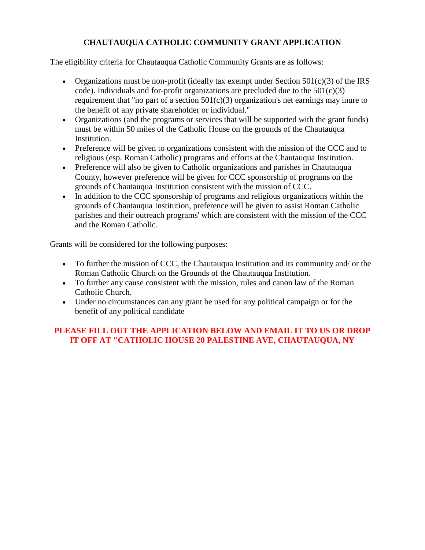## **CHAUTAUQUA CATHOLIC COMMUNITY GRANT APPLICATION**

The eligibility criteria for Chautauqua Catholic Community Grants are as follows:

- Organizations must be non-profit (ideally tax exempt under Section  $501(c)(3)$  of the IRS code). Individuals and for-profit organizations are precluded due to the  $501(c)(3)$ requirement that "no part of a section  $501(c)(3)$  organization's net earnings may inure to the benefit of any private shareholder or individual."
- Organizations (and the programs or services that will be supported with the grant funds) must be within 50 miles of the Catholic House on the grounds of the Chautauqua Institution.
- Preference will be given to organizations consistent with the mission of the CCC and to religious (esp. Roman Catholic) programs and efforts at the Chautauqua Institution.
- Preference will also be given to Catholic organizations and parishes in Chautauqua County, however preference will be given for CCC sponsorship of programs on the grounds of Chautauqua Institution consistent with the mission of CCC.
- In addition to the CCC sponsorship of programs and religious organizations within the grounds of Chautauqua Institution, preference will be given to assist Roman Catholic parishes and their outreach programs' which are consistent with the mission of the CCC and the Roman Catholic.

Grants will be considered for the following purposes:

- To further the mission of CCC, the Chautauqua Institution and its community and/ or the Roman Catholic Church on the Grounds of the Chautauqua Institution.
- To further any cause consistent with the mission, rules and canon law of the Roman Catholic Church.
- Under no circumstances can any grant be used for any political campaign or for the benefit of any political candidate

## **PLEASE FILL OUT THE APPLICATION BELOW AND EMAIL IT TO US OR DROP IT OFF AT "CATHOLIC HOUSE 20 PALESTINE AVE, CHAUTAUQUA, NY**